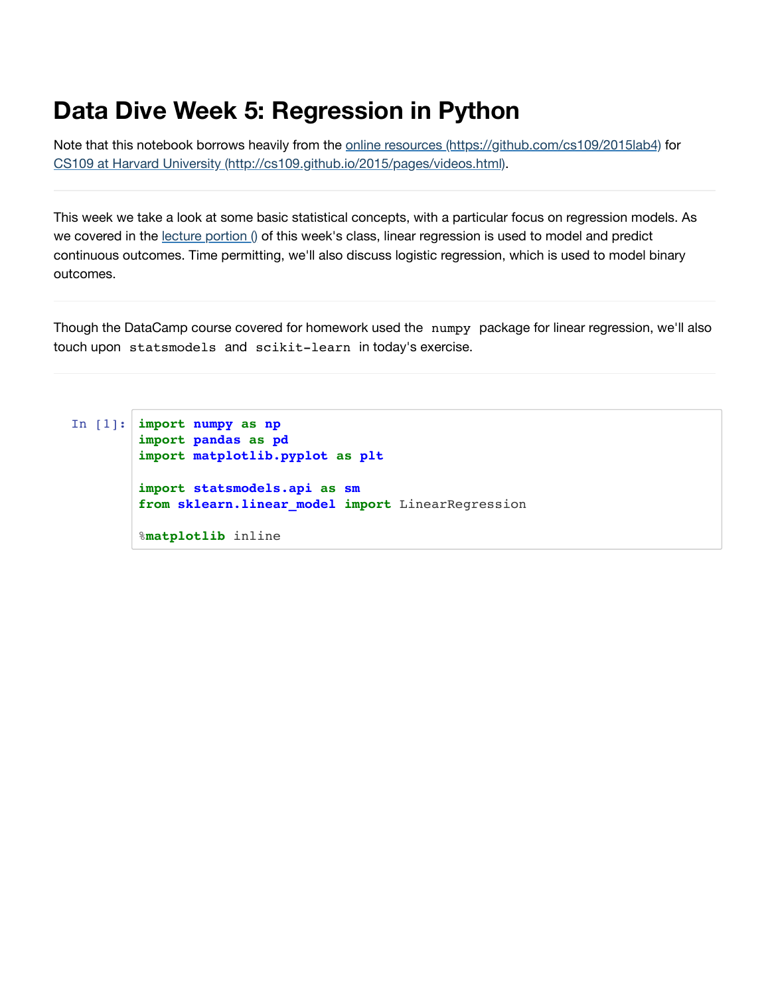# **Data Dive Week 5: Regression in Python**

Note that this notebook borrows heavily from the online resources [\(https://github.com/cs109/2015lab4\)](https://github.com/cs109/2015lab4) for CS109 at Harvard University [\(http://cs109.github.io/2015/pages/videos.html\).](http://cs109.github.io/2015/pages/videos.html)

This week we take a look at some basic statistical concepts, with a particular focus on regression models. As we covered in the lecture [portion](https://hub.gke.mybinder.org/user/grantmlong-itds2018-so299p94/nbconvert/html/lecture-5/DataDive-Lecture5-master.ipynb?download=false) () of this week's class, linear regression is used to model and predict continuous outcomes. Time permitting, we'll also discuss logistic regression, which is used to model binary outcomes.

Though the DataCamp course covered for homework used the numpy package for linear regression, we'll also touch upon statsmodels and scikit-learn in today's exercise.

```
In [1]: import numpy as np
        import pandas as pd
        import matplotlib.pyplot as plt
        import statsmodels.api as sm
        from sklearn.linear_model import LinearRegression
        %matplotlib inline
```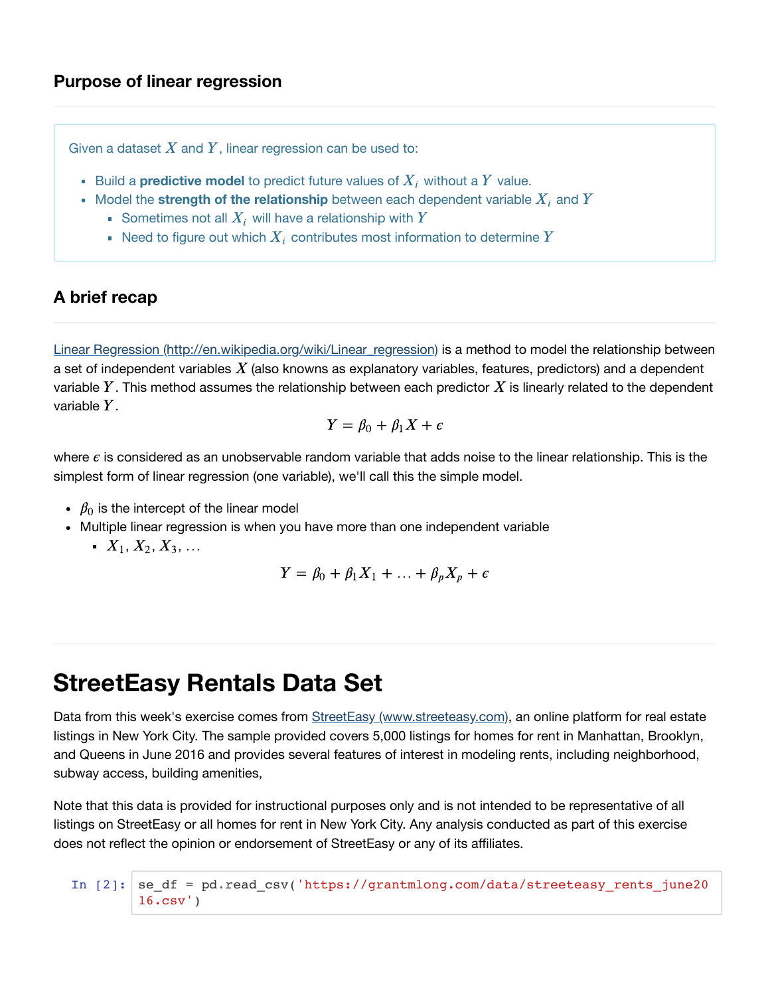### **Purpose of linear regression**

Given a dataset  $X$  and  $Y$ , linear regression can be used to:

- Build a **predictive model** to predict future values of  $X_i$  without a  $Y$  value.
- Model the strength of the relationship between each dependent variable  $X_i$  and  $Y$ 
	- Sometimes not all  $X_i$  will have a relationship with  $Y$
	- Need to figure out which  $\overline{X_i}$  contributes most information to determine  $\overline{Y}$

#### **A brief recap**

Linear Regression [\(http://en.wikipedia.org/wiki/Linear\\_regression\)](http://en.wikipedia.org/wiki/Linear_regression) is a method to model the relationship between a set of independent variables  $\overline{X}$  (also knowns as explanatory variables, features, predictors) and a dependent variable  $Y.$  This method assumes the relationship between each predictor  $X$  is linearly related to the dependent variable  $Y$ .

$$
Y = \beta_0 + \beta_1 X + \epsilon
$$

where  $\epsilon$  is considered as an unobservable random variable that adds noise to the linear relationship. This is the simplest form of linear regression (one variable), we'll call this the simple model.

- $\beta_0$  is the intercept of the linear model
- Multiple linear regression is when you have more than one independent variable
	- $X_1, X_2, X_3, ...$

$$
Y = \beta_0 + \beta_1 X_1 + \dots + \beta_p X_p + \epsilon
$$

## **StreetEasy Rentals Data Set**

Data from this week's exercise comes from StreetEasy [\(www.streeteasy.com\)](https://hub.gke.mybinder.org/user/grantmlong-itds2018-so299p94/nbconvert/html/lecture-5/www.streeteasy.com), an online platform for real estate listings in New York City. The sample provided covers 5,000 listings for homes for rent in Manhattan, Brooklyn, and Queens in June 2016 and provides several features of interest in modeling rents, including neighborhood, subway access, building amenities,

Note that this data is provided for instructional purposes only and is not intended to be representative of all listings on StreetEasy or all homes for rent in New York City. Any analysis conducted as part of this exercise does not reflect the opinion or endorsement of StreetEasy or any of its affiliates.

In [2]: 
$$
se\_df = pd.read_csv('https://grantmlong.com/data/streeteasy_rents_june20 16.csv')
$$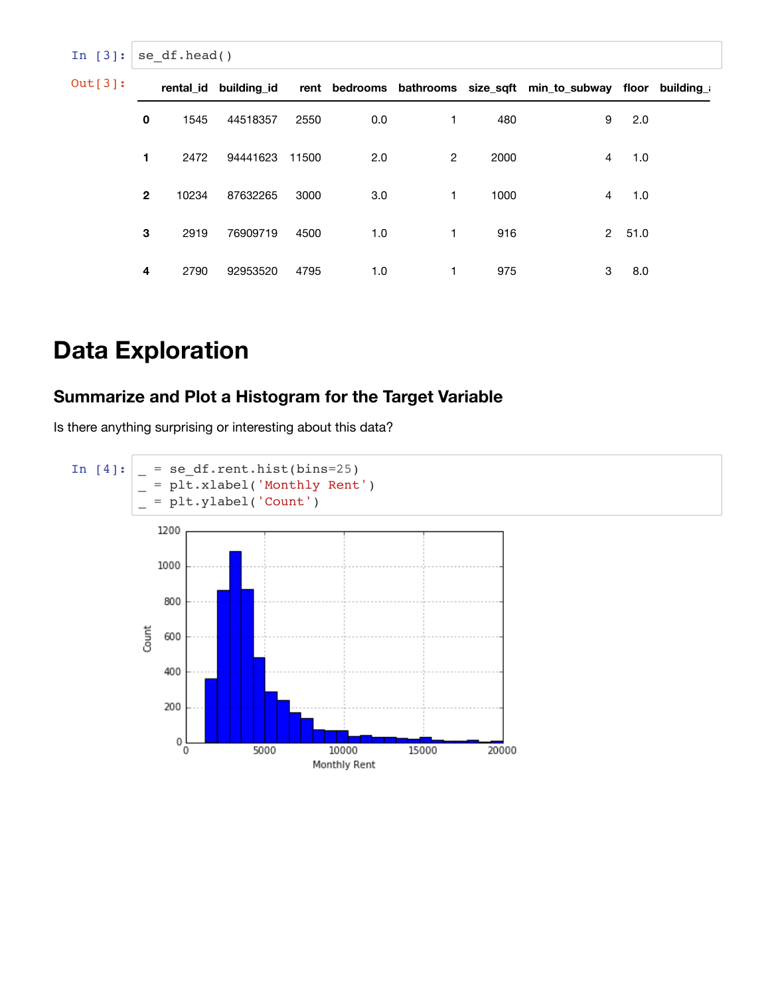| In $[3]:$ |              | se df.head() |          |       |     |                |      |                                                                                        |      |  |
|-----------|--------------|--------------|----------|-------|-----|----------------|------|----------------------------------------------------------------------------------------|------|--|
| Out[3]:   |              |              |          |       |     |                |      | rental_id building_id rent bedrooms bathrooms size_sqft min_to_subway floor building_a |      |  |
|           | $\mathbf 0$  | 1545         | 44518357 | 2550  | 0.0 | 1              | 480  | 9                                                                                      | 2.0  |  |
|           | 1            | 2472         | 94441623 | 11500 | 2.0 | $\overline{2}$ | 2000 | $\overline{4}$                                                                         | 1.0  |  |
|           | $\mathbf{2}$ | 10234        | 87632265 | 3000  | 3.0 | $\mathbf{1}$   | 1000 | 4                                                                                      | 1.0  |  |
|           | 3            | 2919         | 76909719 | 4500  | 1.0 | $\mathbf{1}$   | 916  | $\mathbf{2}$                                                                           | 51.0 |  |
|           | 4            | 2790         | 92953520 | 4795  | 1.0 |                | 975  | 3                                                                                      | 8.0  |  |

# **Data Exploration**

## **Summarize and Plot a Histogram for the Target Variable**

Is there anything surprising or interesting about this data?

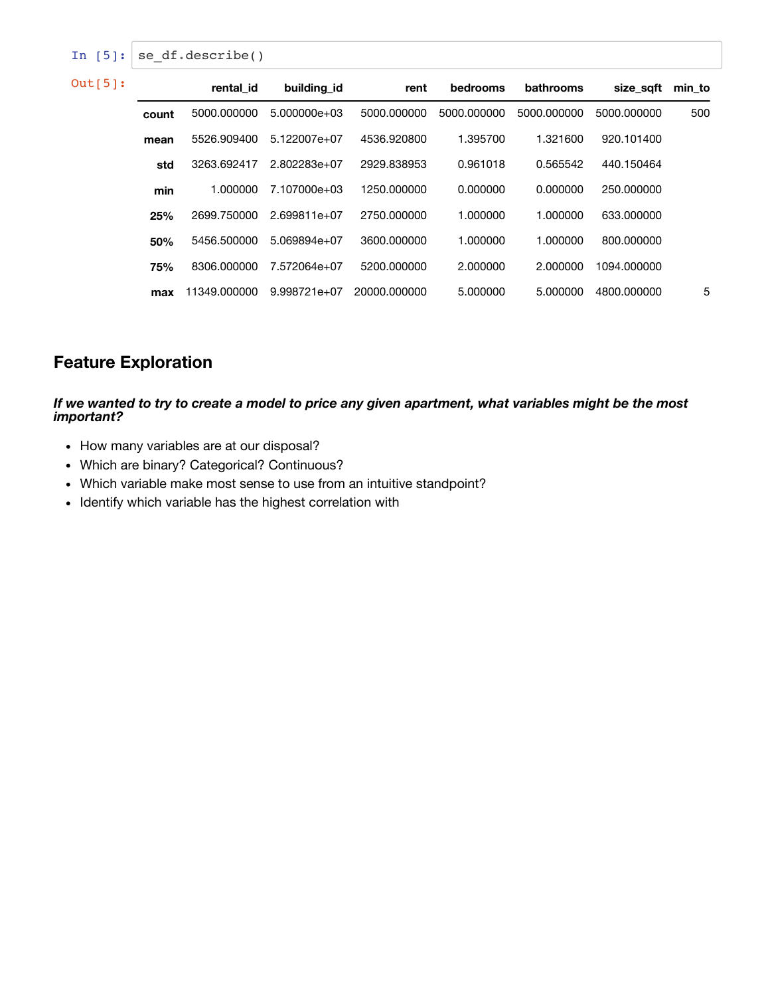| In $[5]$ : | se df.describe() |              |                  |              |             |             |             |        |  |  |  |  |  |
|------------|------------------|--------------|------------------|--------------|-------------|-------------|-------------|--------|--|--|--|--|--|
| $Out[5]$ : |                  | rental id    | building id      | rent         | bedrooms    | bathrooms   | size saft   | min to |  |  |  |  |  |
|            | count            | 5000.000000  | $5.000000e + 03$ | 5000.000000  | 5000.000000 | 5000.000000 | 5000.000000 | 500    |  |  |  |  |  |
|            | mean             | 5526.909400  | 5.122007e+07     | 4536.920800  | 1.395700    | 1.321600    | 920.101400  |        |  |  |  |  |  |
|            | std              | 3263.692417  | 2.802283e+07     | 2929.838953  | 0.961018    | 0.565542    | 440.150464  |        |  |  |  |  |  |
|            | min              | 1.000000     | 7.107000e+03     | 1250.000000  | 0.000000    | 0.000000    | 250,000000  |        |  |  |  |  |  |
|            | 25%              | 2699.750000  | $2.699811e+07$   | 2750.000000  | 1.000000    | 1.000000    | 633,000000  |        |  |  |  |  |  |
|            | 50%              | 5456.500000  | $5.069894e+07$   | 3600.000000  | 1.000000    | 1.000000    | 800.000000  |        |  |  |  |  |  |
|            | 75%              | 8306.000000  | 7.572064e+07     | 5200.000000  | 2.000000    | 2.000000    | 1094.000000 |        |  |  |  |  |  |
|            | max              | 11349.000000 | $9.998721e+07$   | 20000.000000 | 5.000000    | 5.000000    | 4800.000000 | 5      |  |  |  |  |  |

## **Feature Exploration**

If we wanted to try to create a model to price any given apartment, what variables might be the most *important?*

- How many variables are at our disposal?
- Which are binary? Categorical? Continuous?
- Which variable make most sense to use from an intuitive standpoint?
- Identify which variable has the highest correlation with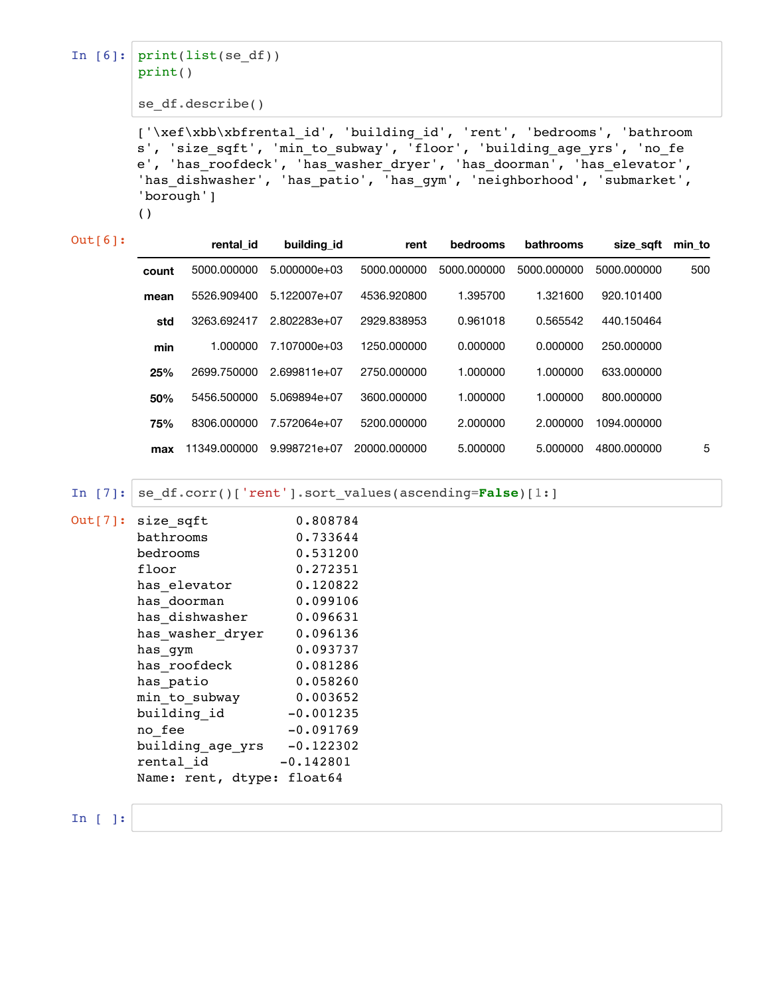```
In [6]: print(list(se_df))
        print()
```
se\_df.describe()

['\xef\xbb\xbfrental\_id', 'building\_id', 'rent', 'bedrooms', 'bathroom s', 'size\_sqft', 'min\_to\_subway', 'floor', 'building\_age\_yrs', 'no\_fe e', 'has\_roofdeck', 'has\_washer\_dryer', 'has\_doorman', 'has\_elevator', 'has\_dishwasher', 'has\_patio', 'has\_gym', 'neighborhood', 'submarket', 'borough']

()

| $Out[6]$ : |       | rental id    | building id      | rent         | bedrooms    | bathrooms   | size saft   | min to |
|------------|-------|--------------|------------------|--------------|-------------|-------------|-------------|--------|
|            | count | 5000.000000  | $5.000000e + 03$ | 5000.000000  | 5000.000000 | 5000.000000 | 5000.000000 | 500    |
|            | mean  | 5526.909400  | 5.122007e+07     | 4536.920800  | 1.395700    | 1.321600    | 920.101400  |        |
|            | std   | 3263.692417  | 2.802283e+07     | 2929.838953  | 0.961018    | 0.565542    | 440.150464  |        |
|            | min   | 1.000000     | 7.107000e+03     | 1250.000000  | 0.000000    | 0.000000    | 250.000000  |        |
|            | 25%   | 2699.750000  | 2.699811e+07     | 2750.000000  | 1.000000    | 1.000000    | 633.000000  |        |
|            | 50%   | 5456.500000  | $5.069894e+07$   | 3600.000000  | 1.000000    | 1.000000    | 800.000000  |        |
|            | 75%   | 8306.000000  | 7.572064e+07     | 5200.000000  | 2.000000    | 2.000000    | 1094.000000 |        |
|            | max   | 11349.000000 | 9.998721e+07     | 20000.000000 | 5.000000    | 5.000000    | 4800.000000 | 5      |

In [7]:  $\left| \text{se\_df.corr}(\right)$ ['rent'].sort\_values(ascending=**False**)[1:]

| Out[7]: size_sqft          | 0.808784    |
|----------------------------|-------------|
| bathrooms                  | 0.733644    |
| bedrooms                   | 0.531200    |
| floor                      | 0.272351    |
| has elevator               | 0.120822    |
| has doorman                | 0.099106    |
| has dishwasher             | 0.096631    |
| has washer dryer           | 0.096136    |
| has gym                    | 0.093737    |
| has roofdeck               | 0.081286    |
| has patio                  | 0.058260    |
| min to subway              | 0.003652    |
| building id                | $-0.001235$ |
| no fee                     | $-0.091769$ |
| building age yrs           | $-0.122302$ |
| rental id                  | $-0.142801$ |
| Name: rent, dtype: float64 |             |

In [ ]: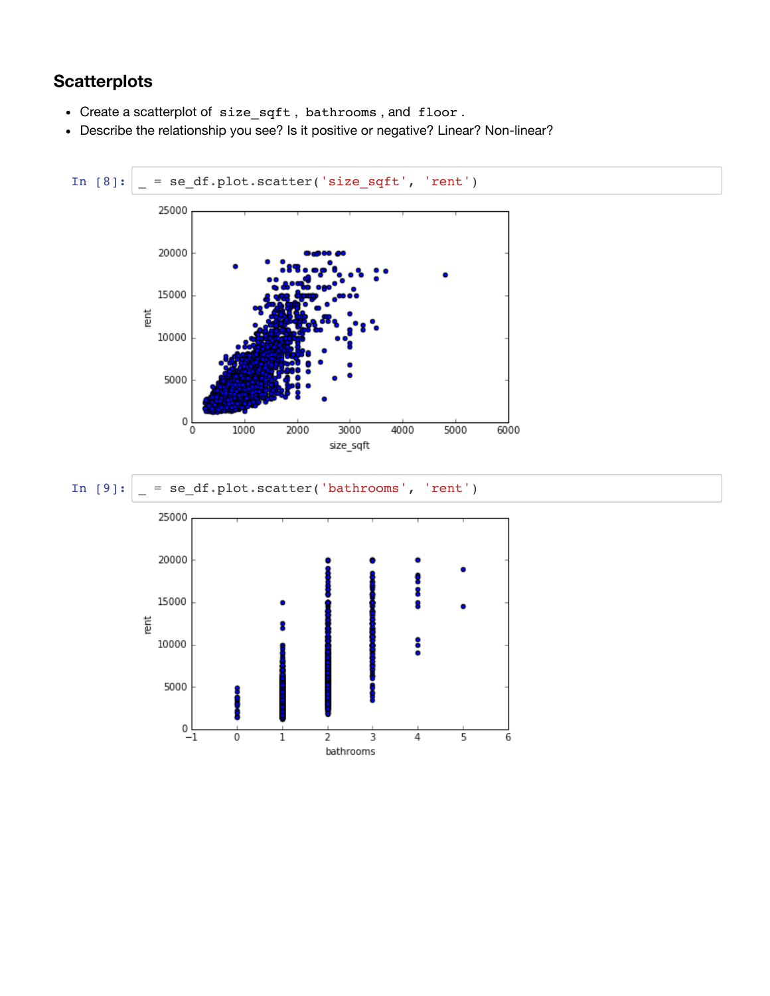## **Scatterplots**

- Create a scatterplot of size\_sqft , bathrooms , and floor .
- Describe the relationship you see? Is it positive or negative? Linear? Non-linear?

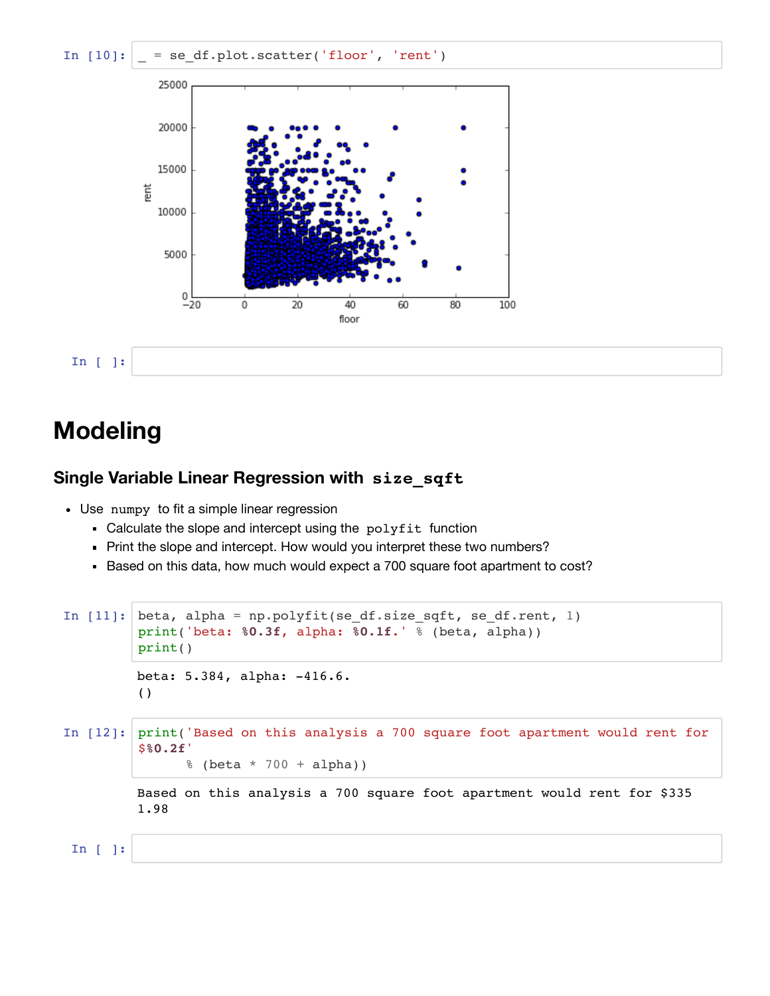

# **Modeling**

#### **Single Variable Linear Regression with size\_sqft**

- Use numpy to fit a simple linear regression
	- Calculate the slope and intercept using the polyfit function
	- Print the slope and intercept. How would you interpret these two numbers?
	- Based on this data, how much would expect a 700 square foot apartment to cost?

```
In [11]: beta, alpha = np.polyfit(se_df.size_sqft, se_df.rent, 1)
         print('beta: %0.3f, alpha: %0.1f.' % (beta, alpha))
         print()
In [12]: print('Based on this analysis a 700 square foot apartment would rent for
         $%0.2f'
                % (beta * 700 + alpha))
 In [ ]:
         beta: 5.384, alpha: -416.6.
         ()
         Based on this analysis a 700 square foot apartment would rent for $335
         1.98
```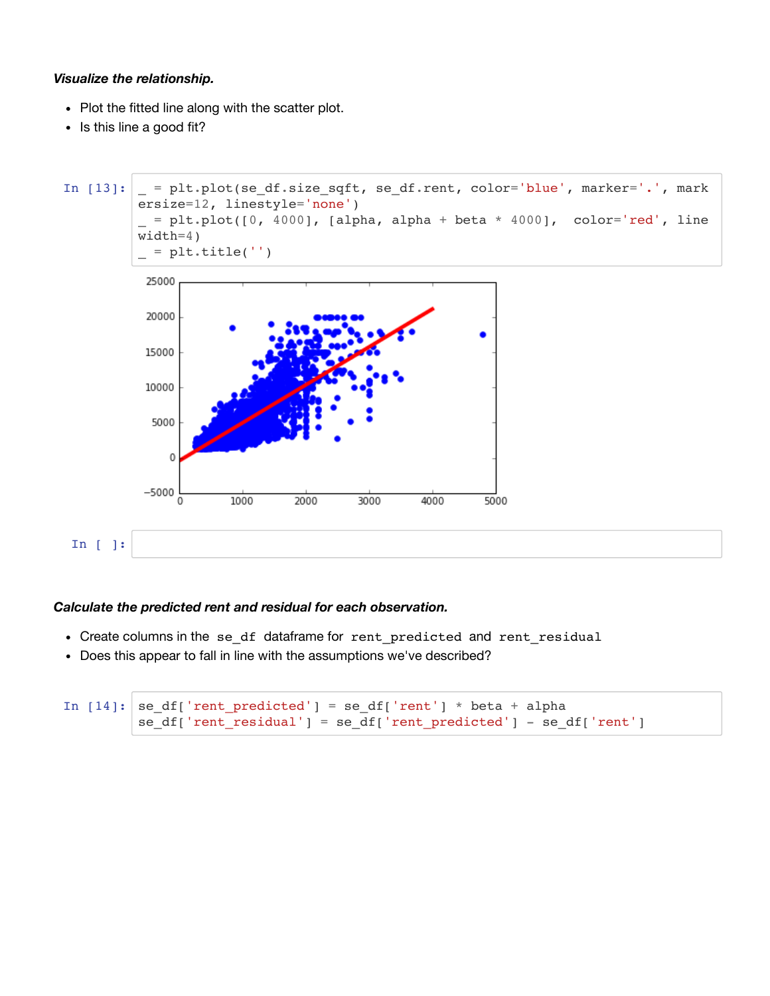#### *Visualize the relationship.*

- Plot the fitted line along with the scatter plot.
- Is this line a good fit?



#### *Calculate the predicted rent and residual for each observation.*

- Create columns in the se df dataframe for rent predicted and rent residual
- Does this appear to fall in line with the assumptions we've described?

```
In [14]: se df['rent predicted'] = se df['rent'] * beta + alpha
         se_df['rent_residual'] = se_df['rent_predicted'] - se_df['rent']
```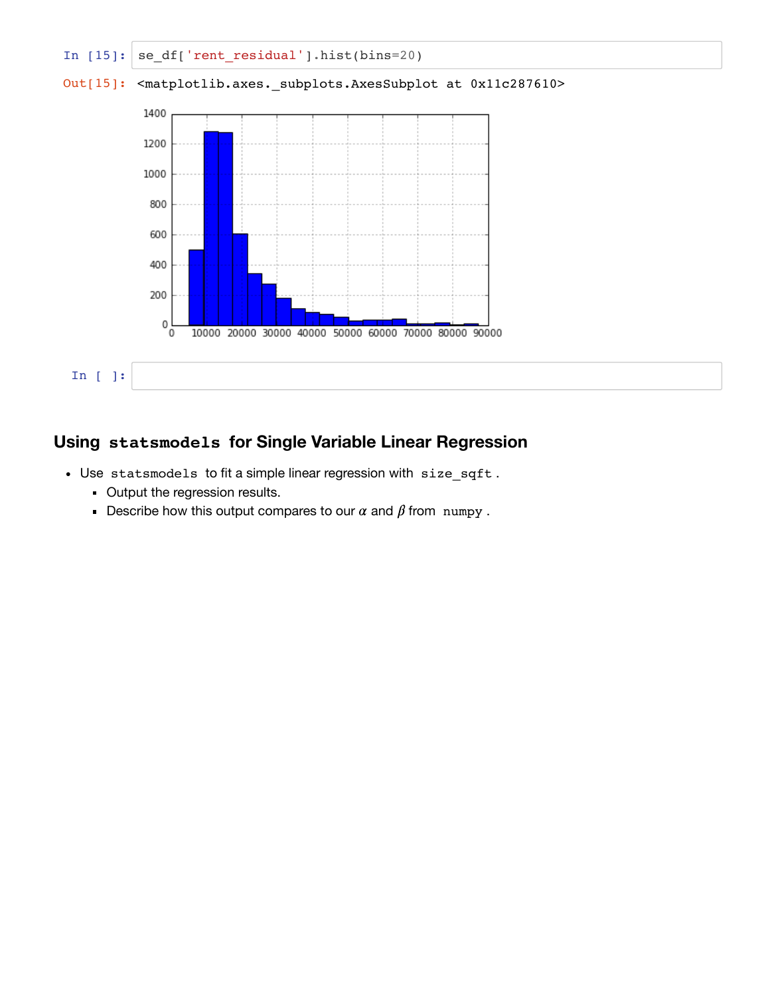

### **Using statsmodels for Single Variable Linear Regression**

- Use statsmodels to fit a simple linear regression with size\_sqft .
	- **Output the regression results.**
	- **Describe how this output compares to our**  $\alpha$  **and**  $\beta$  **from numpy.**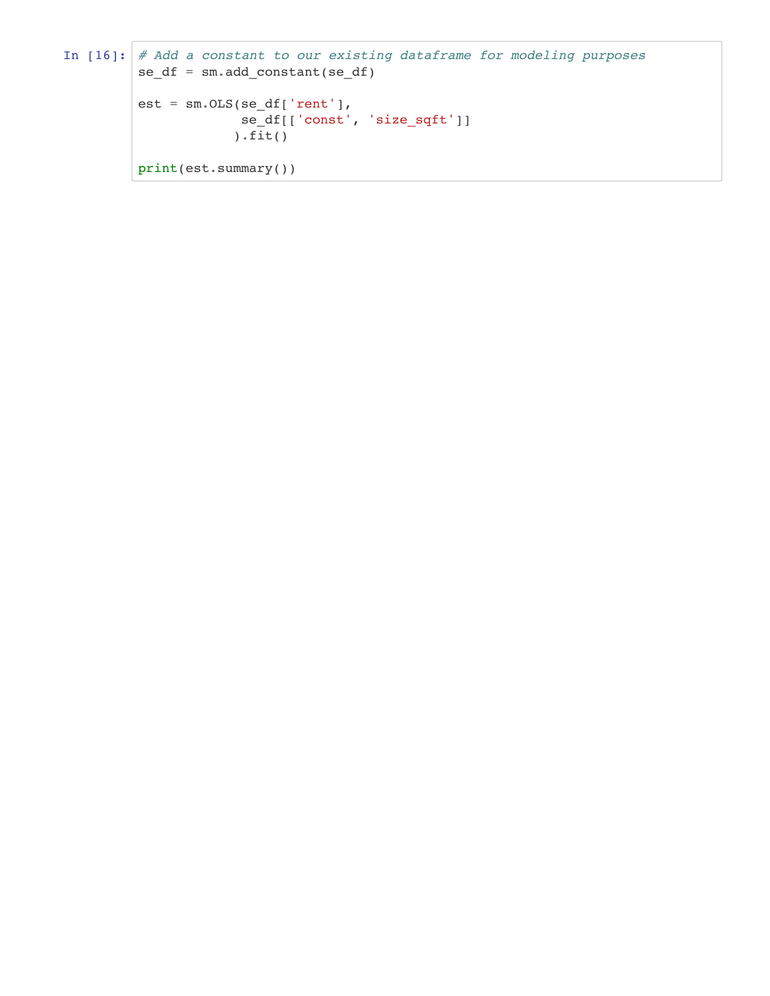```
In [16]: # Add a constant to our existing dataframe for modeling purposes
          se df = sm.add constant(se df)est = sm.0LS(sedf['rent'], se_df[['const', 'size_sqft']]
                       \overline{\text{fit}}()
          print(est.summary())
```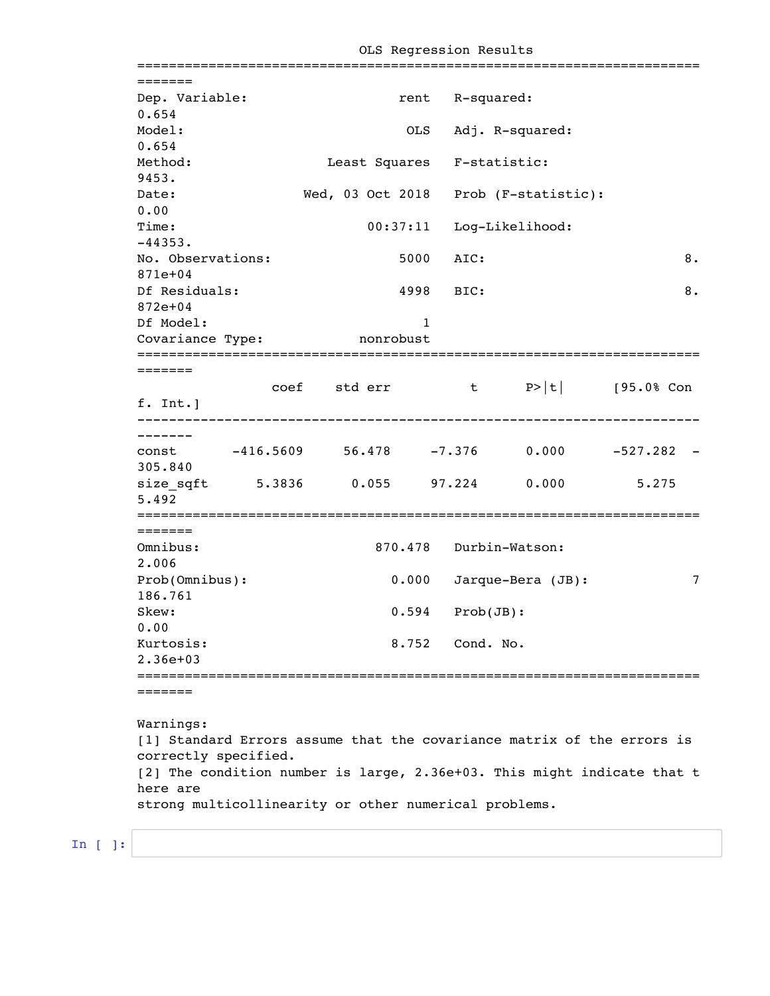| No. Observations: | OLS<br>5000<br>4998<br>$\mathbf{1}$<br>Covariance Type: nonrobust | rent R-squared:<br>Adj. R-squared:<br>Least Squares F-statistic:<br>00:37:11 Log-Likelihood:<br>AIC:<br>BIC: | Wed, 03 Oct 2018 Prob (F-statistic):         | 8.<br>8.                                                                                                                                                       |
|-------------------|-------------------------------------------------------------------|--------------------------------------------------------------------------------------------------------------|----------------------------------------------|----------------------------------------------------------------------------------------------------------------------------------------------------------------|
|                   |                                                                   |                                                                                                              |                                              |                                                                                                                                                                |
|                   |                                                                   |                                                                                                              |                                              |                                                                                                                                                                |
|                   |                                                                   |                                                                                                              |                                              |                                                                                                                                                                |
|                   |                                                                   |                                                                                                              |                                              |                                                                                                                                                                |
|                   |                                                                   |                                                                                                              |                                              |                                                                                                                                                                |
|                   |                                                                   |                                                                                                              |                                              |                                                                                                                                                                |
|                   |                                                                   |                                                                                                              |                                              |                                                                                                                                                                |
|                   |                                                                   |                                                                                                              |                                              |                                                                                                                                                                |
|                   |                                                                   |                                                                                                              |                                              |                                                                                                                                                                |
|                   |                                                                   |                                                                                                              |                                              |                                                                                                                                                                |
|                   |                                                                   |                                                                                                              |                                              |                                                                                                                                                                |
|                   |                                                                   |                                                                                                              |                                              |                                                                                                                                                                |
|                   |                                                                   |                                                                                                              |                                              |                                                                                                                                                                |
|                   |                                                                   |                                                                                                              |                                              |                                                                                                                                                                |
|                   |                                                                   |                                                                                                              |                                              |                                                                                                                                                                |
|                   |                                                                   |                                                                                                              |                                              |                                                                                                                                                                |
|                   |                                                                   |                                                                                                              |                                              |                                                                                                                                                                |
|                   |                                                                   |                                                                                                              | coef std err $t$ P> t  $[95.08 \text{ Con}]$ |                                                                                                                                                                |
|                   |                                                                   |                                                                                                              |                                              |                                                                                                                                                                |
|                   |                                                                   |                                                                                                              |                                              |                                                                                                                                                                |
|                   |                                                                   |                                                                                                              |                                              |                                                                                                                                                                |
|                   |                                                                   |                                                                                                              |                                              |                                                                                                                                                                |
|                   |                                                                   |                                                                                                              |                                              | 5.275                                                                                                                                                          |
|                   |                                                                   |                                                                                                              |                                              |                                                                                                                                                                |
|                   |                                                                   |                                                                                                              |                                              |                                                                                                                                                                |
|                   |                                                                   |                                                                                                              |                                              |                                                                                                                                                                |
|                   |                                                                   |                                                                                                              |                                              |                                                                                                                                                                |
|                   |                                                                   |                                                                                                              |                                              |                                                                                                                                                                |
|                   |                                                                   |                                                                                                              |                                              |                                                                                                                                                                |
|                   |                                                                   |                                                                                                              |                                              |                                                                                                                                                                |
|                   |                                                                   |                                                                                                              |                                              |                                                                                                                                                                |
|                   |                                                                   |                                                                                                              |                                              |                                                                                                                                                                |
|                   |                                                                   |                                                                                                              |                                              |                                                                                                                                                                |
|                   |                                                                   |                                                                                                              |                                              |                                                                                                                                                                |
|                   |                                                                   | 0.000<br>0.594<br>8.752                                                                                      |                                              | const -416.5609 56.478 -7.376 0.000 -527.282 -<br>size_sqft 5.3836 0.055 97.224 0.000<br>870.478 Durbin-Watson:<br>Jarque-Bera (JB):<br>Prob(JB):<br>Cond. No. |

OLS Regression Results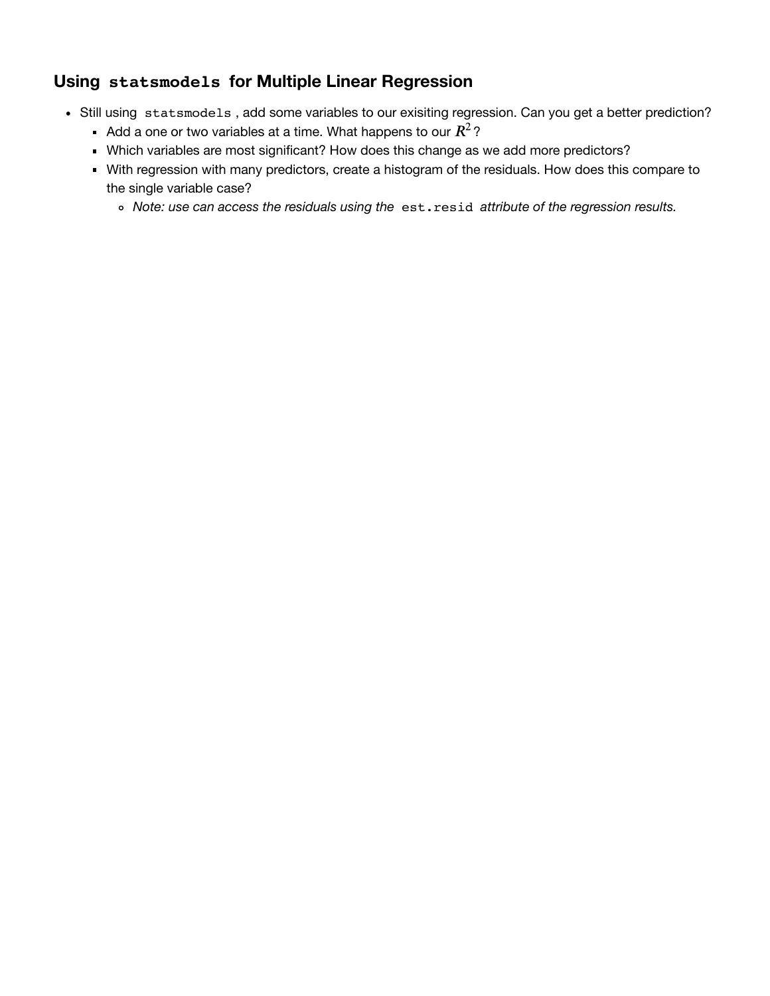### **Using statsmodels for Multiple Linear Regression**

- Still using statsmodels, add some variables to our exisiting regression. Can you get a better prediction?
	- Add a one or two variables at a time. What happens to our  $R^2\, ?$
	- Which variables are most significant? How does this change as we add more predictors?
	- With regression with many predictors, create a histogram of the residuals. How does this compare to the single variable case?
		- *Note: use can access the residuals using the* est.resid *attribute of the regression results.*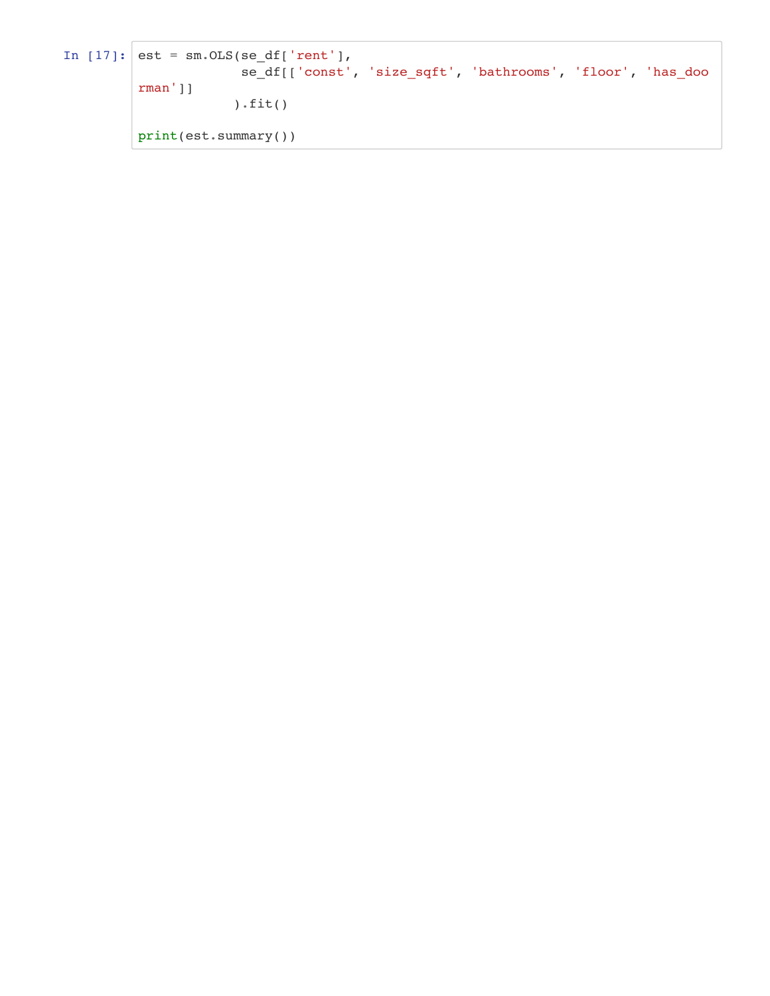```
In [17]: est = sm. OLS(se_df['rent'],
                       se_df[['const', 'size_sqft', 'bathrooms', 'floor', 'has_doo
         rman']]
                      ).fit()
         print(est.summary())
```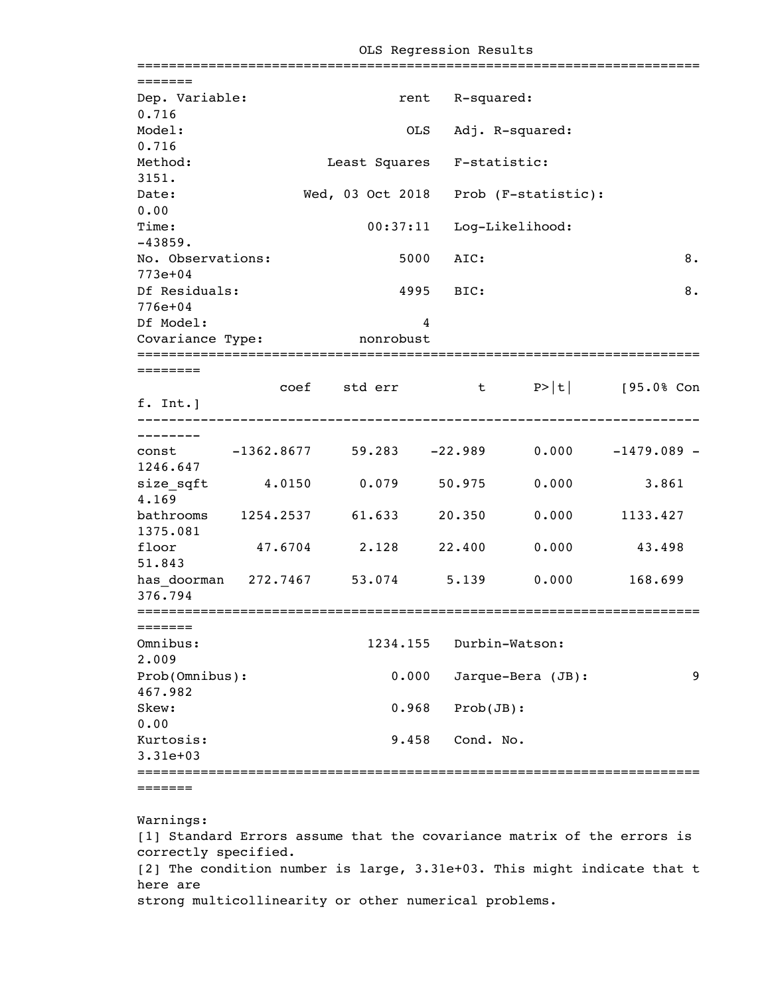|                                                                  |               |          |      |                 |                                                         | ========== |    |
|------------------------------------------------------------------|---------------|----------|------|-----------------|---------------------------------------------------------|------------|----|
| =======                                                          |               |          |      |                 |                                                         |            |    |
| Dep. Variable:<br>0.716                                          |               |          |      | rent R-squared: |                                                         |            |    |
| Model:                                                           |               |          | OLS  |                 | Adj. R-squared:                                         |            |    |
| 0.716                                                            |               |          |      |                 |                                                         |            |    |
| Method:<br>3151.                                                 |               |          |      |                 | Least Squares F-statistic:                              |            |    |
| Date:                                                            |               |          |      |                 | Wed, 03 Oct 2018 Prob (F-statistic):                    |            |    |
| 0.00                                                             |               |          |      |                 |                                                         |            |    |
| Time:<br>$-43859.$                                               |               |          |      |                 | 00:37:11 Log-Likelihood:                                |            |    |
| No. Observations:<br>$773e+04$                                   |               |          | 5000 | AIC:            |                                                         |            | 8. |
| Df Residuals:                                                    |               |          |      | 4995 BIC:       |                                                         |            | 8. |
| $776e + 04$                                                      |               |          |      |                 |                                                         |            |    |
| Df Model:                                                        |               |          | 4    |                 |                                                         |            |    |
| Covariance Type: nonrobust<br>;================================= |               |          |      |                 |                                                         |            |    |
| ========                                                         |               |          |      |                 |                                                         |            |    |
|                                                                  |               |          |      |                 | coef std err t P> t  [95.0% Con                         |            |    |
| f. Int.]                                                         |               |          |      |                 |                                                         |            |    |
| --------                                                         |               |          |      |                 |                                                         |            |    |
|                                                                  |               |          |      |                 | const $-1362.8677$ 59.283 $-22.989$ 0.000 $-1479.089$ - |            |    |
| 1246.647                                                         |               |          |      |                 |                                                         |            |    |
| size_sqft  4.0150  0.079  50.975<br>4.169                        |               |          |      |                 | 0.000                                                   | 3.861      |    |
| bathrooms 1254.2537 61.633                                       |               |          |      | 20.350          | 0.000                                                   | 1133.427   |    |
| 1375.081<br>floor                                                | 47.6704 2.128 |          |      | 22.400          | 0.000                                                   | 43.498     |    |
| 51.843                                                           |               |          |      |                 | has doorman 272.7467 53.074 5.139 0.000 168.699         |            |    |
| 376.794                                                          |               |          |      |                 |                                                         |            |    |
| =======                                                          |               |          |      |                 |                                                         |            |    |
| Omnibus:<br>2.009                                                |               | 1234.155 |      |                 | Durbin-Watson:                                          |            |    |
| Prob(Omnibus):                                                   |               | 0.000    |      |                 | Jarque-Bera (JB):                                       |            | 9  |
| 467.982                                                          |               |          |      |                 |                                                         |            |    |
| Skew:                                                            |               | 0.968    |      | Prob(JB):       |                                                         |            |    |
| 0.00                                                             |               |          |      |                 |                                                         |            |    |
| Kurtosis:<br>$3.31e+03$                                          |               | 9.458    |      | Cond. No.       |                                                         |            |    |
|                                                                  |               |          |      |                 |                                                         |            |    |
| :======                                                          |               |          |      |                 |                                                         |            |    |
|                                                                  |               |          |      |                 |                                                         |            |    |

OLS Regression Results

Warnings: [1] Standard Errors assume that the covariance matrix of the errors is correctly specified. [2] The condition number is large, 3.31e+03. This might indicate that t here are strong multicollinearity or other numerical problems.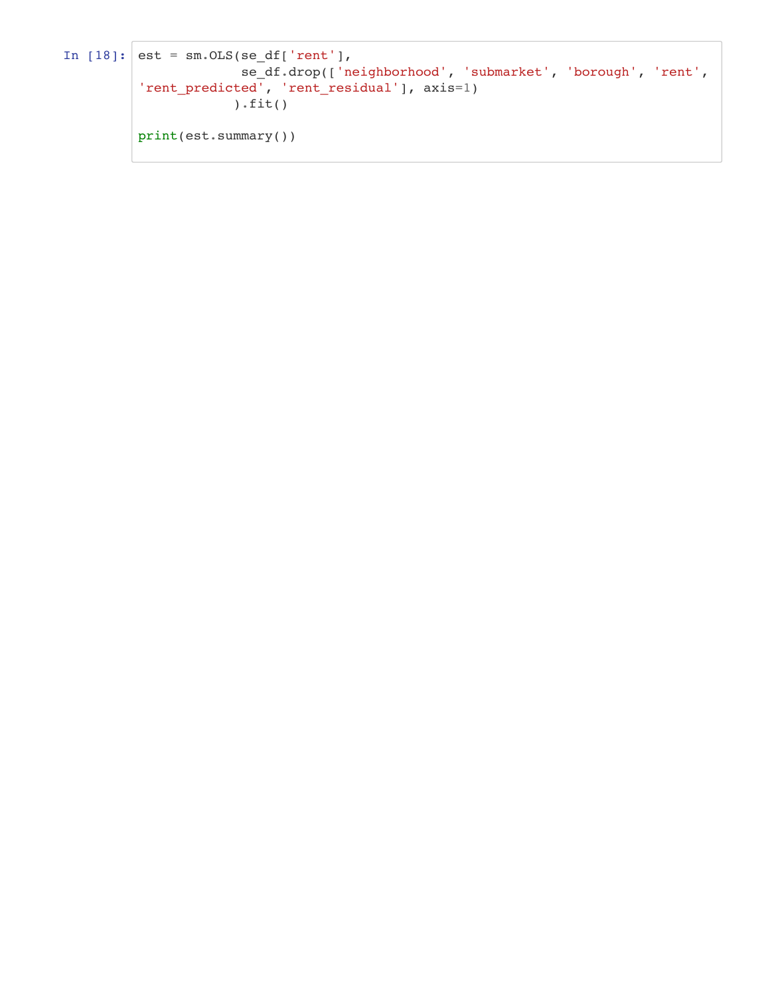```
In [18]: est = sm. OLS(se_df['rent'],
                       se_df.drop(['neighborhood', 'submarket', 'borough', 'rent',
         'rent_predicted', 'rent_residual'], axis=1)
                       ).fit()
         print(est.summary())
```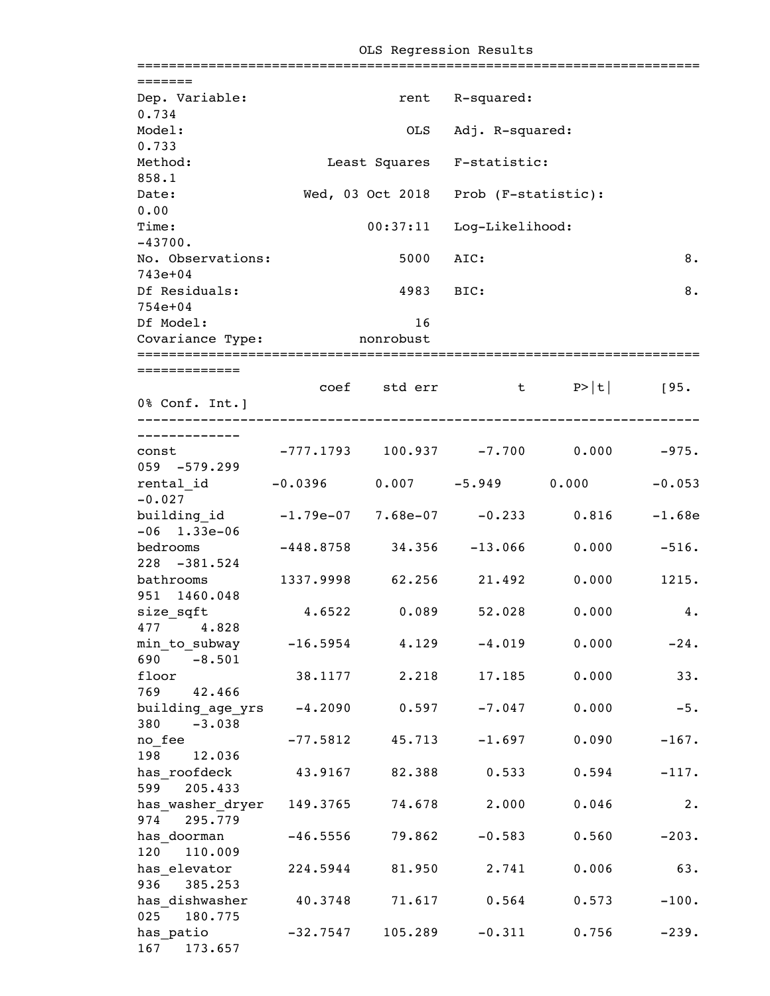| =======                                                       |                                             |           |                                      |       |                |
|---------------------------------------------------------------|---------------------------------------------|-----------|--------------------------------------|-------|----------------|
| Dep. Variable:<br>0.734                                       |                                             |           | rent R-squared:                      |       |                |
| Model:                                                        |                                             | OLS       | Adj. R-squared:                      |       |                |
| 0.733                                                         |                                             |           |                                      |       |                |
| Method:<br>858.1                                              |                                             |           | Least Squares F-statistic:           |       |                |
| Date:                                                         |                                             |           | Wed, 03 Oct 2018 Prob (F-statistic): |       |                |
| 0.00<br>Time:                                                 |                                             | 00:37:11  | Log-Likelihood:                      |       |                |
| $-43700.$<br>No. Observations:                                |                                             | 5000      | AIC:                                 |       | 8.             |
| 743e+04                                                       |                                             |           |                                      |       |                |
| Df Residuals:                                                 |                                             | 4983 BIC: |                                      |       | 8.             |
| $754e+04$                                                     |                                             |           |                                      |       |                |
| Df Model:                                                     |                                             | 16        |                                      |       |                |
| Covariance Type: nonrobust                                    |                                             |           |                                      |       |                |
| =============                                                 |                                             |           |                                      |       |                |
|                                                               |                                             |           | coef stderr t $P> t $ [95.           |       |                |
| 0% Conf. Int.]                                                |                                             |           |                                      |       |                |
|                                                               |                                             |           |                                      |       |                |
|                                                               |                                             |           |                                      |       |                |
| const<br>$059 - 579.299$                                      | $-777.1793$ 100.937 $-7.700$ 0.000 $-975$ . |           |                                      |       |                |
| rental id $-0.0396$ 0.007 $-5.949$ 0.000<br>$-0.027$          |                                             |           |                                      |       | $-0.053$       |
| building_id -1.79e-07 7.68e-07 -0.233 0.816<br>$-06$ 1.33e-06 |                                             |           |                                      |       | $-1.68e$       |
| bedrooms<br>$228 - 381.524$                                   | $-448.8758$ 34.356 $-13.066$                |           |                                      |       | $0.000 -516$ . |
| bathrooms                                                     | 1337.9998 62.256 21.492                     |           |                                      |       | $0.000$ 1215.  |
| 951 1460.048<br>size sqft                                     | $4.6522$ 0.089 52.028 0.000                 |           |                                      |       | 4.             |
| 477<br>4.828                                                  |                                             |           |                                      |       |                |
| min_to_subway<br>690<br>$-8.501$                              | $-16.5954$                                  | 4.129     | $-4.019$                             | 0.000 | $-24.$         |
| floor<br>769<br>42.466                                        | 38.1177                                     | 2.218     | 17.185                               | 0.000 | 33.            |
| building_age_yrs<br>380<br>$-3.038$                           | $-4.2090$                                   | 0.597     | $-7.047$                             | 0.000 | $-5.$          |
| no fee                                                        | $-77.5812$                                  | 45.713    | $-1.697$                             | 0.090 | $-167.$        |
| 198<br>12.036<br>has roofdeck                                 | 43.9167                                     | 82.388    | 0.533                                | 0.594 | $-117.$        |
| 599<br>205.433<br>has washer dryer                            | 149.3765                                    | 74.678    | 2.000                                | 0.046 | 2.             |
| 974<br>295.779<br>has_doorman                                 | $-46.5556$                                  | 79.862    | $-0.583$                             | 0.560 | $-203.$        |
| 120<br>110.009                                                |                                             |           |                                      |       |                |
| has elevator<br>936<br>385.253                                | 224.5944                                    | 81.950    | 2.741                                | 0.006 | 63.            |
| has dishwasher<br>025<br>180.775                              | 40.3748                                     | 71.617    | 0.564                                | 0.573 | $-100.$        |
| has patio<br>167 173.657                                      | $-32.7547$                                  | 105.289   | $-0.311$                             | 0.756 | $-239.$        |

OLS Regression Results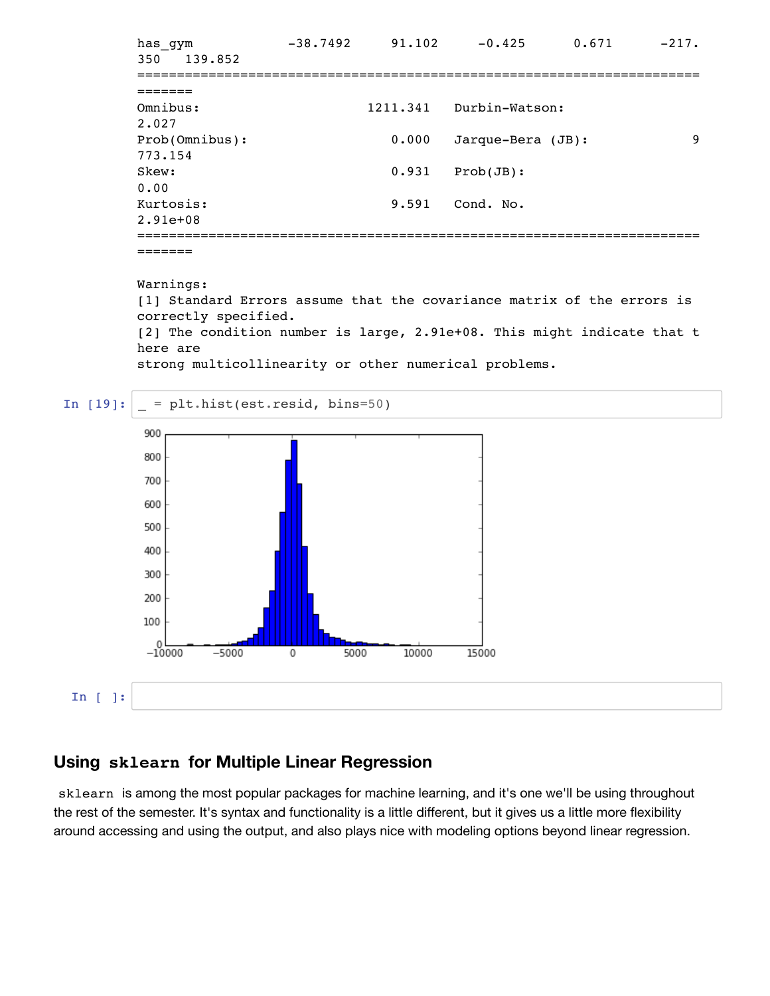has gym  $-38.7492$   $91.102$   $-0.425$   $0.671$   $-217$ . 350 139.852 ======================================================================= ======= Omnibus: 1211.341 Durbin-Watson: 2.027 Prob(Omnibus): 0.000 Jarque-Bera (JB): 9 773.154 Skew: 0.931 Prob(JB): 0.00 Kurtosis: 9.591 Cond. No. 2.91e+08 =======================================================================

=======

Warnings: [1] Standard Errors assume that the covariance matrix of the errors is correctly specified. [2] The condition number is large, 2.91e+08. This might indicate that t here are strong multicollinearity or other numerical problems.



#### **Using sklearn for Multiple Linear Regression**

sklearn is among the most popular packages for machine learning, and it's one we'll be using throughout the rest of the semester. It's syntax and functionality is a little different, but it gives us a little more flexibility around accessing and using the output, and also plays nice with modeling options beyond linear regression.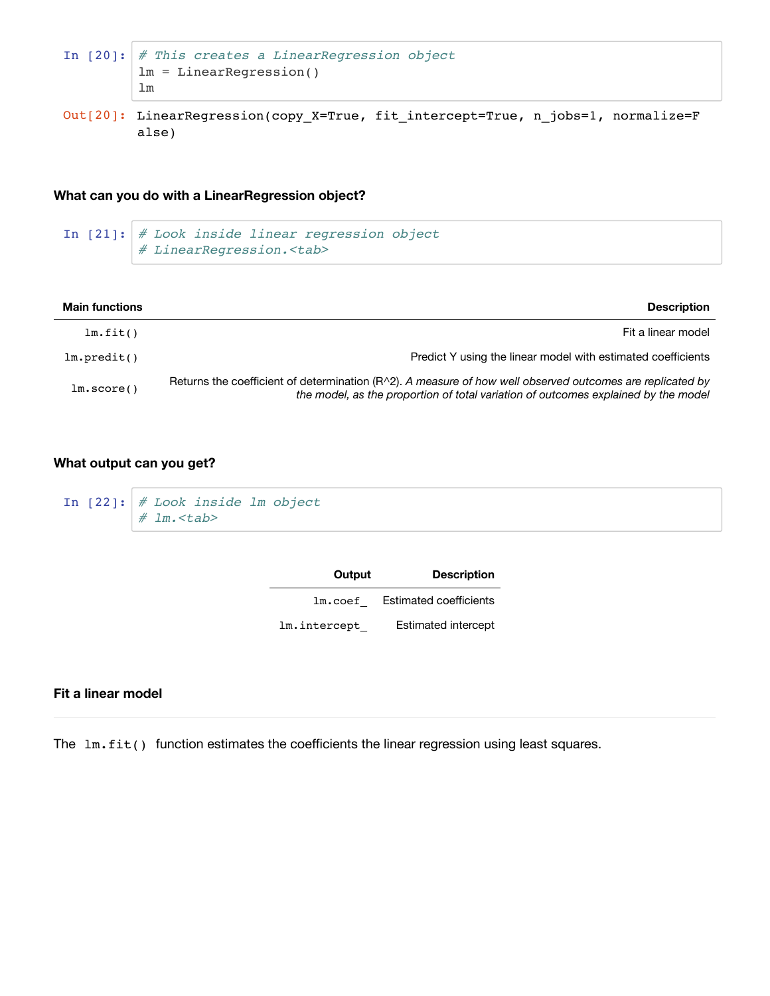```
In [20]: # This creates a LinearRegression object
         lm = LinearRegression()
         lm
```
Out[20]: LinearRegression(copy\_X=True, fit\_intercept=True, n\_jobs=1, normalize=F alse)

#### **What can you do with a LinearRegression object?**

```
In [21]: # Look inside linear regression object
         # LinearRegression.<tab>
```

| <b>Main functions</b> | <b>Description</b>                                                                                                                                                                                |
|-----------------------|---------------------------------------------------------------------------------------------------------------------------------------------------------------------------------------------------|
| lm.fit()              | Fit a linear model                                                                                                                                                                                |
| lm.predit()           | Predict Y using the linear model with estimated coefficients                                                                                                                                      |
| lm.score()            | Returns the coefficient of determination $(R2)$ . A measure of how well observed outcomes are replicated by<br>the model, as the proportion of total variation of outcomes explained by the model |

#### **What output can you get?**

```
In [22]: # Look inside lm object
         # lm.<tab>
```

| Output       | <b>Description</b>            |
|--------------|-------------------------------|
| lm.coef      | <b>Estimated coefficients</b> |
| lm.intercept | Estimated intercept           |

#### **Fit a linear model**

The  $lm.fit()$  function estimates the coefficients the linear regression using least squares.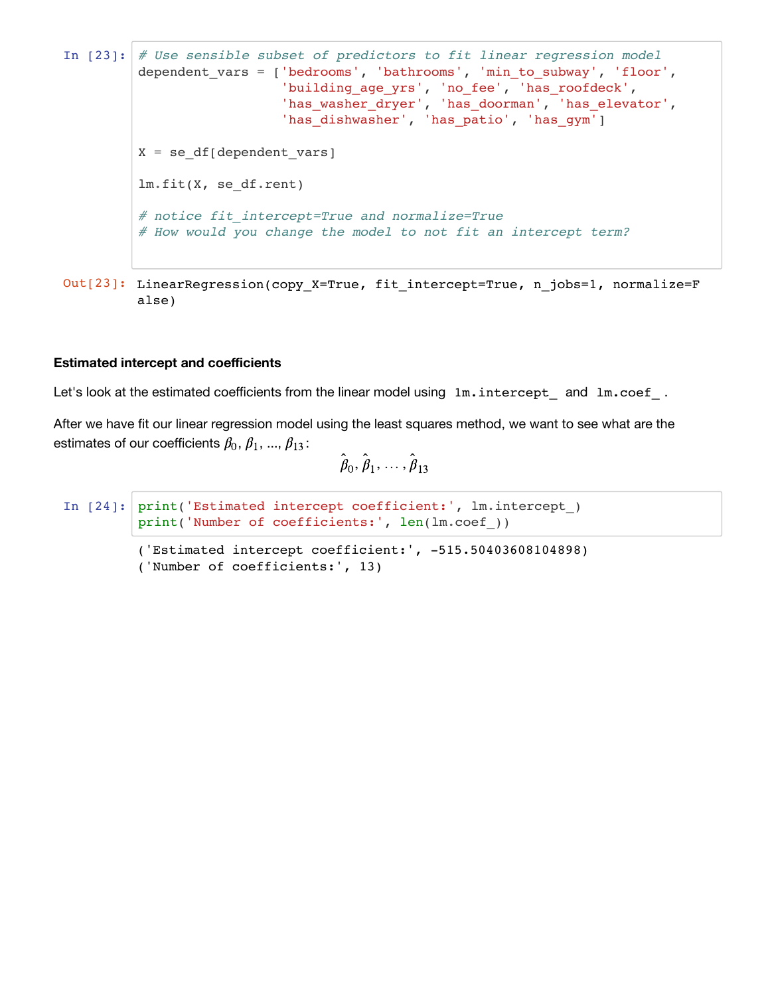```
In [23]: # Use sensible subset of predictors to fit linear regression model
         dependent vars = ['bedrooms', 'bathrooms', 'min to subway', 'floor',
                           'building_age_yrs', 'no_fee', 'has_roofdeck',
          'has_washer_dryer', 'has_doorman', 'has_elevator',
          'has_dishwasher', 'has_patio', 'has_gym']
        X = se_df[dependent \text{vars}]lm.fit(X, se_df.rent)
         # notice fit_intercept=True and normalize=True
         # How would you change the model to not fit an intercept term?
```

```
Out[23]: LinearRegression(copy_X=True, fit_intercept=True, n_jobs=1, normalize=F
         alse)
```
#### **Estimated intercept and coefficients**

Let's look at the estimated coefficients from the linear model using  $1m.interept$  and  $1m.coef$ .

After we have fit our linear regression model using the least squares method, we want to see what are the estimates of our coefficients  $\beta_0$ ,  $\beta_1$ , ...,  $\beta_{13}$ :

```
\hat{\boldsymbol{\beta}}_0, \hat{\boldsymbol{\beta}}_1, \dots, \hat{\boldsymbol{\beta}}_{13}
```

```
In [24]: print('Estimated intercept coefficient:', lm.intercept_)
         print('Number of coefficients:', len(lm.coef_))
```

```
('Estimated intercept coefficient:', -515.50403608104898)
('Number of coefficients:', 13)
```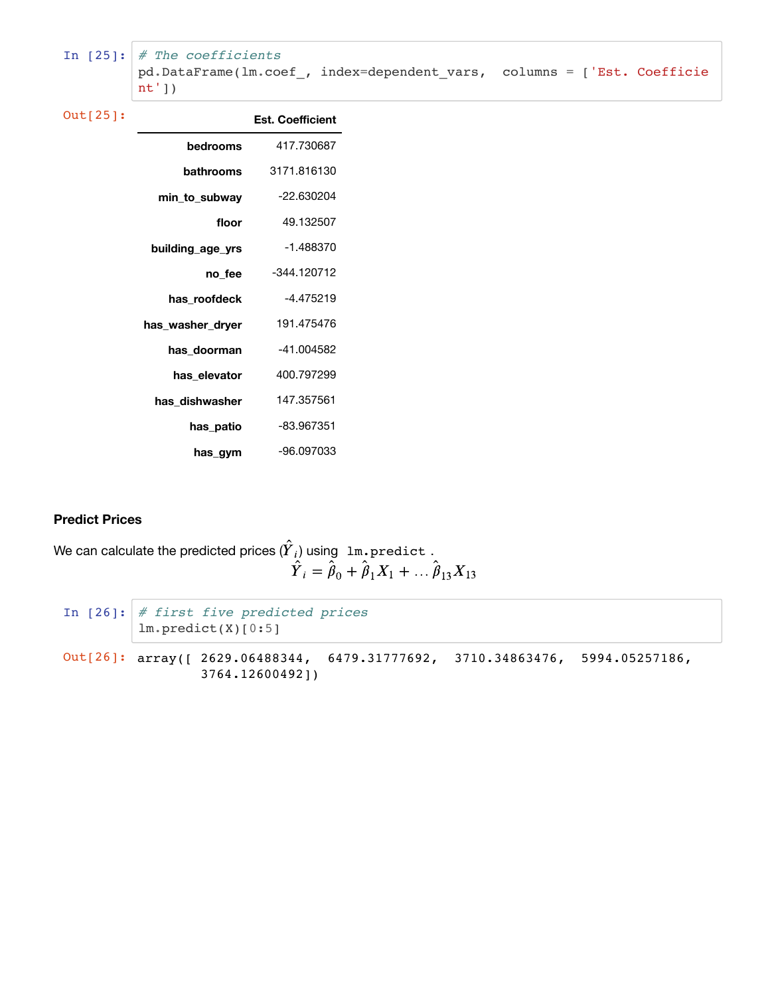```
In [25]: # The coefficients
         pd.DataFrame(lm.coef_, index=dependent_vars, columns = ['Est. Coefficie
         nt'])
```

| Out[25]: |                  | <b>Est. Coefficient</b> |
|----------|------------------|-------------------------|
|          | bedrooms         | 417.730687              |
|          | bathrooms        | 3171.816130             |
|          | min to subway    | -22.630204              |
|          | floor            | 49.132507               |
|          | building age yrs | $-1.488370$             |
|          | no fee           | $-344.120712$           |
|          | has roofdeck     | -4.475219               |
|          | has washer dryer | 191.475476              |
|          | has doorman      | -41.004582              |
|          | has elevator     | 400.797299              |
|          | has dishwasher   | 147.357561              |
|          | has patio        | -83.967351              |
|          | has gym          | -96.097033              |

#### **Predict Prices**

```
We can calculate the predicted prices ({\overline{Y}}_i) using \, 1m.p\,red\,ict \, .
                                                                    \hat{Y}_i = \hat{\beta}_0 + \hat{\beta}_1 X_1 + \dots + \hat{\beta}_{13} X_{13}
```

```
In [26]: # first five predicted prices
         lm.predict(X)[0:5]
Out[26]: array([ 2629.06488344, 6479.31777692, 3710.34863476, 5994.05257186,
                  3764.12600492])
```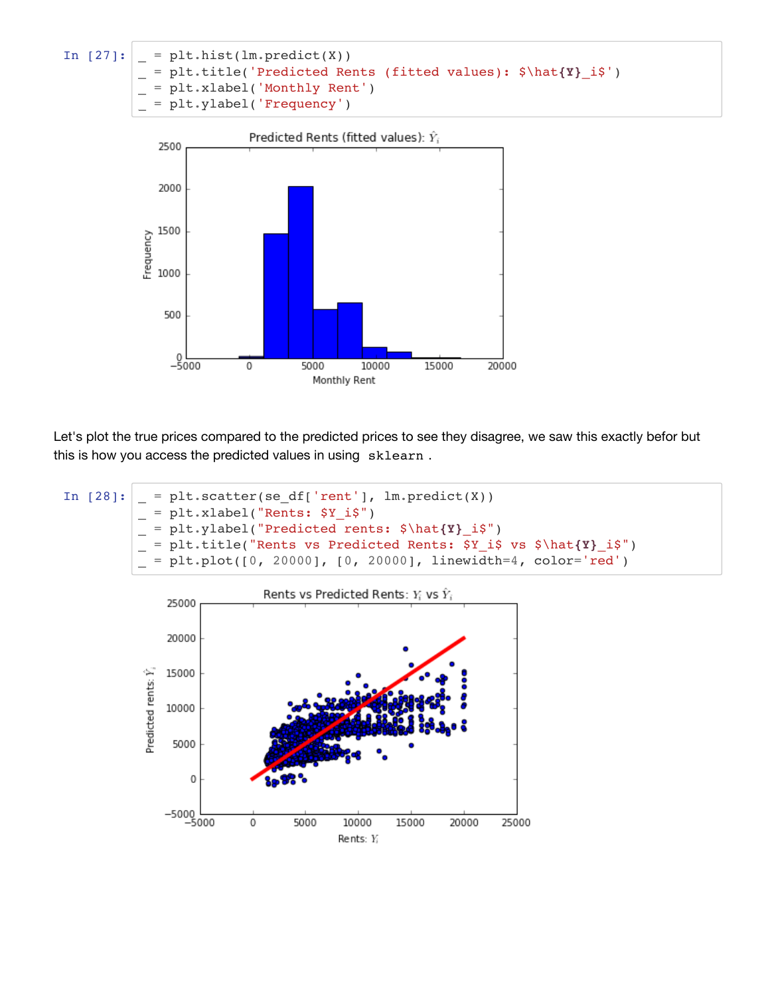



Let's plot the true prices compared to the predicted prices to see they disagree, we saw this exactly befor but this is how you access the predicted values in using sklearn .

In  $[28]:$  = plt.scatter(se\_df['rent'], lm.predict(X)) \_ = plt.xlabel("Rents: \$Y\_i\$") \_ = plt.ylabel("Predicted rents: \$\hat**{Y}**\_i\$") \_ = plt.title("Rents vs Predicted Rents: \$Y\_i\$ vs \$\hat**{Y}**\_i\$")  $=$  plt.plot([0, 20000], [0, 20000], linewidth=4, color='red')